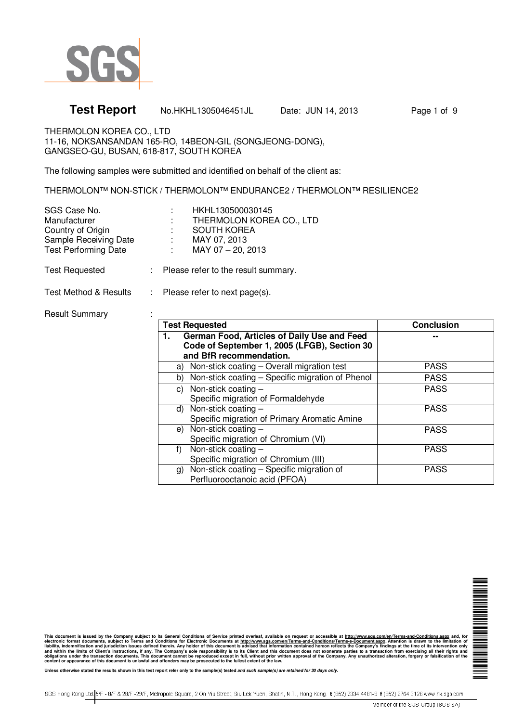

# **Test Report** No.HKHL1305046451JL Date: JUN 14, 2013 Page 1 of 9

THERMOLON KOREA CO., LTD 11-16, NOKSANSANDAN 165-RO, 14BEON-GIL (SONGJEONG-DONG), GANGSEO-GU, BUSAN, 618-817, SOUTH KOREA

The following samples were submitted and identified on behalf of the client as:

THERMOLON™ NON-STICK / THERMOLON™ ENDURANCE2 / THERMOLON™ RESILIENCE2

| SGS Case No.                | HKHL130500030145         |
|-----------------------------|--------------------------|
| Manufacturer                | THERMOLON KOREA CO., LTD |
| Country of Origin           | <b>SOUTH KOREA</b>       |
| Sample Receiving Date       | MAY 07, 2013             |
| <b>Test Performing Date</b> | MAY 07 - 20, 2013        |
|                             |                          |

Test Requested : Please refer to the result summary.

Test Method & Results : Please refer to next page(s).

Result Summary : :

| <b>Test Requested</b>                                                                                                        | <b>Conclusion</b> |
|------------------------------------------------------------------------------------------------------------------------------|-------------------|
| German Food, Articles of Daily Use and Feed<br>1.<br>Code of September 1, 2005 (LFGB), Section 30<br>and BfR recommendation. |                   |
| a) Non-stick coating - Overall migration test                                                                                | <b>PASS</b>       |
| b) Non-stick coating – Specific migration of Phenol                                                                          | <b>PASS</b>       |
| Non-stick coating $-$<br>C)<br>Specific migration of Formaldehyde                                                            | <b>PASS</b>       |
| d) Non-stick coating $-$<br>Specific migration of Primary Aromatic Amine                                                     | <b>PASS</b>       |
| Non-stick coating $-$<br>e)<br>Specific migration of Chromium (VI)                                                           | <b>PASS</b>       |
| Non-stick coating $-$<br>f)<br>Specific migration of Chromium (III)                                                          | <b>PASS</b>       |
| Non-stick coating - Specific migration of<br>g)<br>Perfluorooctanoic acid (PFOA)                                             | <b>PASS</b>       |

▊▊▊▊▊▊▊▊▊▊

This document is issued by the Company subject to its General Conditions of Service printed overleaf, available on request or accessible at <u>http://www.sqs.com/en/Terms-and-Conditions.aspx</u> and, for the limits of Client's

**Unless otherwise stated the results shown in this test report refer only to the sample(s) tested and such sample(s) are retained for 30 days only.**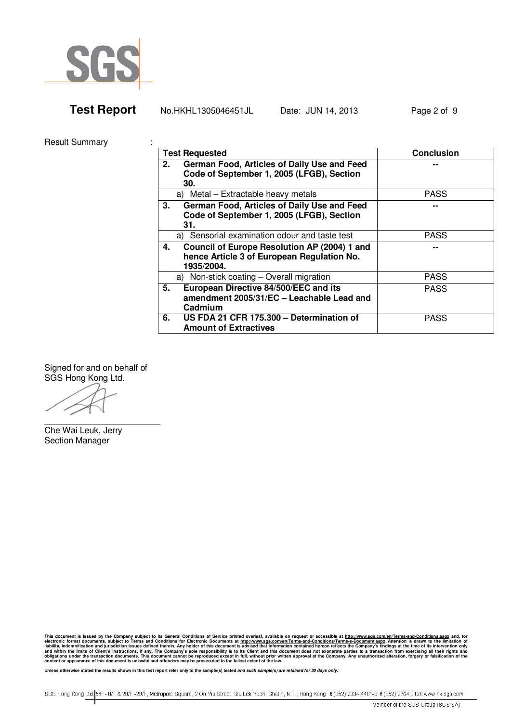

| <b>Test Report</b> | No.HKHL1305046451JL | Date: JUN 14, 2013 | Page 2 of 9 |
|--------------------|---------------------|--------------------|-------------|
|--------------------|---------------------|--------------------|-------------|

Result Summary :

| <b>Test Requested</b>                                                                                          | <b>Conclusion</b> |
|----------------------------------------------------------------------------------------------------------------|-------------------|
| German Food, Articles of Daily Use and Feed<br>2.<br>Code of September 1, 2005 (LFGB), Section<br>30.          |                   |
| a) Metal - Extractable heavy metals                                                                            | <b>PASS</b>       |
| German Food, Articles of Daily Use and Feed<br>3.<br>Code of September 1, 2005 (LFGB), Section<br>31.          | --                |
| a) Sensorial examination odour and taste test                                                                  | <b>PASS</b>       |
| Council of Europe Resolution AP (2004) 1 and<br>4.<br>hence Article 3 of European Regulation No.<br>1935/2004. |                   |
| a) Non-stick coating - Overall migration                                                                       | <b>PASS</b>       |
| European Directive 84/500/EEC and its<br>5.<br>amendment 2005/31/EC - Leachable Lead and<br>Cadmium            | <b>PASS</b>       |
| US FDA 21 CFR 175.300 - Determination of<br>6.<br><b>Amount of Extractives</b>                                 | <b>PASS</b>       |

Signed for and on behalf of SGS Hong Kong Ltd.

Che Wai Leuk, Jerry Section Manager

This document is issued by the Company subject to its General Conditions of Service printed overleaf, available on request or accessible at <u>http://www.sqs.com/en/Terms-and-Conditions.aspx</u> and, for the limits of Client's

**Unless otherwise stated the results shown in this test report refer only to the sample(s) tested and such sample(s) are retained for 30 days only.** 

SGS Hong Kong Ltd. 5/F - 8/F & 28/F -29/F, Metropole Square, 2 On Yiu Street, Siu Lek Yuen, Shatin, N.T., Hong Kong. t (852) 2334 4481-9 f (852) 2764 3126 www.hk.sgs.com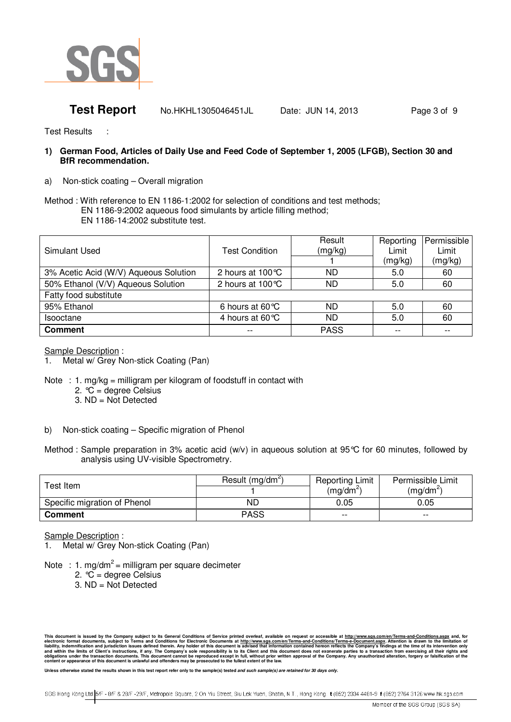

**Test Report** No.HKHL1305046451JL Date: JUN 14, 2013 Page 3 of 9

Test Results :

- **1) German Food, Articles of Daily Use and Feed Code of September 1, 2005 (LFGB), Section 30 and BfR recommendation.**
- a) Non-stick coating Overall migration

Method : With reference to EN 1186-1:2002 for selection of conditions and test methods; EN 1186-9:2002 aqueous food simulants by article filling method; EN 1186-14:2002 substitute test.

| Simulant Used                         | <b>Test Condition</b>      | Result<br>(mg/kg) | Reporting<br>Limit | Permissible<br>Limit |
|---------------------------------------|----------------------------|-------------------|--------------------|----------------------|
|                                       |                            |                   | (mg/kg)            | (mg/kg)              |
| 3% Acetic Acid (W/V) Aqueous Solution | 2 hours at $100^{\circ}$ C | ND.               | 5.0                | 60                   |
| 50% Ethanol (V/V) Aqueous Solution    | 2 hours at 100°C           | <b>ND</b>         | 5.0                | 60                   |
| Fatty food substitute                 |                            |                   |                    |                      |
| 95% Ethanol                           | 6 hours at 60 $\degree$ C  | ND                | 5.0                | 60                   |
| <b>Isooctane</b>                      | 4 hours at 60 $\degree$ C  | ND                | 5.0                | 60                   |
| <b>Comment</b>                        | $- -$                      | <b>PASS</b>       | $- -$              | $- -$                |

Sample Description :

- 1. Metal w/ Grey Non-stick Coating (Pan)
- Note : 1. mg/kg = milligram per kilogram of foodstuff in contact with
	- 2.  $°C = degree Celsius$
	- 3. ND = Not Detected
- b) Non-stick coating Specific migration of Phenol
- Method : Sample preparation in 3% acetic acid (w/v) in aqueous solution at 95°C for 60 minutes, followed by analysis using UV-visible Spectrometry.

| Test Item                    | Result (mg/dm <sup>2</sup> ) | <b>Reporting Limit</b><br>$(mq/dm^2)$ | Permissible Limit<br>$(mq/dm^2)$ |  |
|------------------------------|------------------------------|---------------------------------------|----------------------------------|--|
| Specific migration of Phenol | ND                           | 0.05                                  | 0.05                             |  |
| <b>Comment</b>               | <b>PASS</b>                  | $- -$                                 | $- -$                            |  |

Sample Description :

- Metal w/ Grey Non-stick Coating (Pan)
- Note : 1. mg/dm<sup>2</sup> = milligram per square decimeter
	- 2.  $°C =$  degree Celsius
	- 3. ND = Not Detected

This document is issued by the Company subject to its General Conditions of Service printed overleaf, available on request or accessible at <u>http://www.sqs.com/en/Terms-and-Conditions.aspx</u> and, for the limits of Client's

Unless otherwise stated the results shown in this test report refer only to the sample(s) tested and such sample(s) are retained for 30 days only

SGS Hong Kong Ltd. 5/F - 8/F & 28/F -29/F, Metropole Square, 2 On Yiu Street, Siu Lek Yuen, Shatin, N.T., Hong Kong. t (852) 2334 4481-9 f (852) 2764 3126 www.hk.sgs.com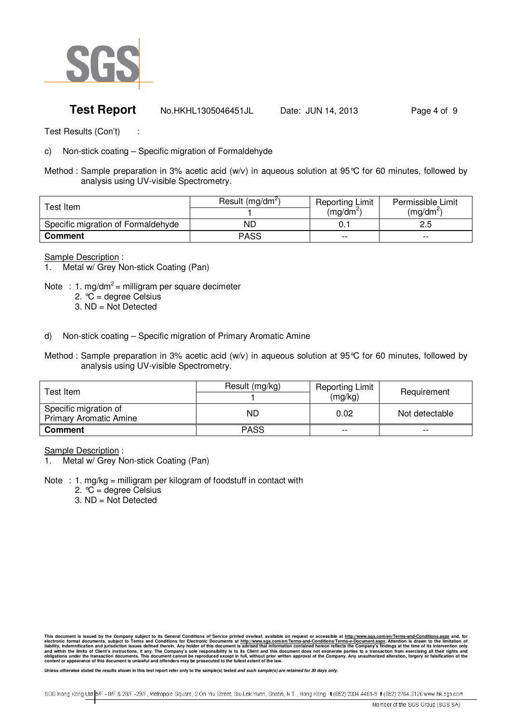

## **Test Report** No.HKHL1305046451JL Date: JUN 14, 2013 Page 4 of 9

Test Results (Con't) :

c) Non-stick coating – Specific migration of Formaldehyde

Method : Sample preparation in 3% acetic acid (w/v) in aqueous solution at 95°C for 60 minutes, followed by analysis using UV-visible Spectrometry.

| Test Item.                         | Result (mg/dm <sup>2</sup> ) | <b>Reporting Limit</b> | Permissible Limit |
|------------------------------------|------------------------------|------------------------|-------------------|
|                                    |                              | (ma/dm <sup>z</sup> '  | $(mq/dm^2)$       |
| Specific migration of Formaldehyde | ND                           |                        | د.ء               |
| <b>Comment</b>                     | <b>PASS</b>                  | $- -$                  | $- -$             |

Sample Description :

1. Metal w/ Grey Non-stick Coating (Pan)

Note : 1. mg/dm<sup>2</sup> = milligram per square decimeter 2.  ${}^{\circ}\!C$  = degree Celsius

3. ND = Not Detected

- d) Non-stick coating Specific migration of Primary Aromatic Amine
- Method : Sample preparation in 3% acetic acid (w/v) in aqueous solution at 95°C for 60 minutes, followed by analysis using UV-visible Spectrometry.

| Test Item l                                            | Result (mg/kg) | <b>Reporting Limit</b><br>(mg/kg) | Requirement    |
|--------------------------------------------------------|----------------|-----------------------------------|----------------|
| Specific migration of<br><b>Primary Aromatic Amine</b> | ND             | 0.02                              | Not detectable |
| <b>Comment</b>                                         | <b>PASS</b>    | $- -$                             | $- -$          |

Sample Description :

Metal w/ Grey Non-stick Coating (Pan)

- Note : 1. mg/kg = milligram per kilogram of foodstuff in contact with
	- 2.  $°C = degree Celsius$
	- 3. ND = Not Detected

This document is issued by the Company subject to its General Conditions of Service printed overleaf, available on request or accessible at <u>http://www.sqs.com/en/Terms-and-Conditions.aspx</u> and, for the limits of Client's

Unless otherwise stated the results shown in this test report refer only to the sample(s) tested and such sample(s) are retained for 30 days only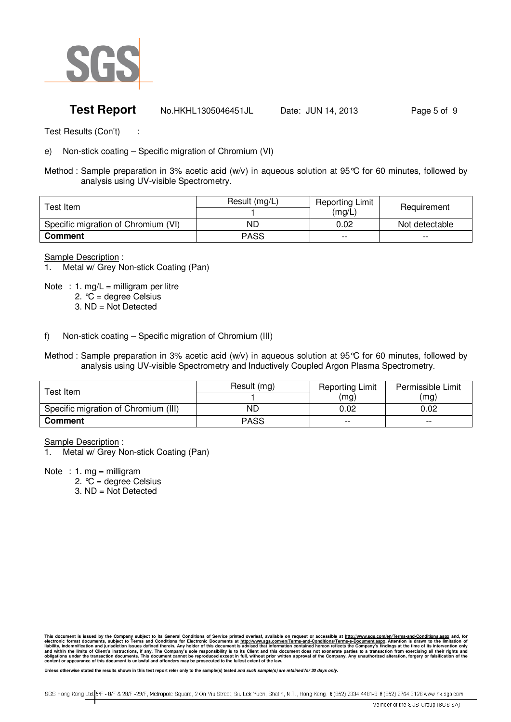

## **Test Report** No.HKHL1305046451JL Date: JUN 14, 2013 Page 5 of 9

Test Results (Con't) :

e) Non-stick coating – Specific migration of Chromium (VI)

Method : Sample preparation in 3% acetic acid (w/v) in aqueous solution at 95°C for 60 minutes, followed by analysis using UV-visible Spectrometry.

| Test Item_                          | Result (mg/L) | <b>Reporting Limit</b><br>(mg/L) | Requirement    |  |
|-------------------------------------|---------------|----------------------------------|----------------|--|
| Specific migration of Chromium (VI) | ND            | 0.02                             | Not detectable |  |
| <b>Comment</b>                      | PASS          | $- -$                            | $- -$          |  |

Sample Description :

1. Metal w/ Grey Non-stick Coating (Pan)

Note : 1. mg/L = milligram per litre 2.  $\widetilde{C}$  = degree Celsius

3. ND = Not Detected

- f) Non-stick coating Specific migration of Chromium (III)
- Method : Sample preparation in 3% acetic acid (w/v) in aqueous solution at 95°C for 60 minutes, followed by analysis using UV-visible Spectrometry and Inductively Coupled Argon Plasma Spectrometry.

| $\mathsf{r}_\mathsf{est}$ Item .     | Result (mg) | <b>Reporting Limit</b> | Permissible Limit |
|--------------------------------------|-------------|------------------------|-------------------|
|                                      |             | (mg)                   | (mg)              |
| Specific migration of Chromium (III) | ND          | 0.02                   | 0.02              |
| <b>Comment</b>                       | PASS        | $- -$                  | $- -$             |

Sample Description :

Metal w/ Grey Non-stick Coating (Pan)

Note : 1.  $mg =$  milligram

- 2.  $°C = degree Celsius$
- 3. ND = Not Detected

This document is issued by the Company subject to its General Conditions of Service printed overleaf, available on request or accessible at <u>http://www.sqs.com/en/Terms-and-Conditions.aspx</u> and, for the limits of Client's

Unless otherwise stated the results shown in this test report refer only to the sample(s) tested and such sample(s) are retained for 30 days only

SGS Hong Kong Ltd. 5/F - 8/F & 28/F -29/F, Metropole Square, 2 On Yiu Street, Siu Lek Yuen, Shatin, N.T., Hong Kong. t (852) 2334 4481-9 f (852) 2764 3126 www.hk.sgs.com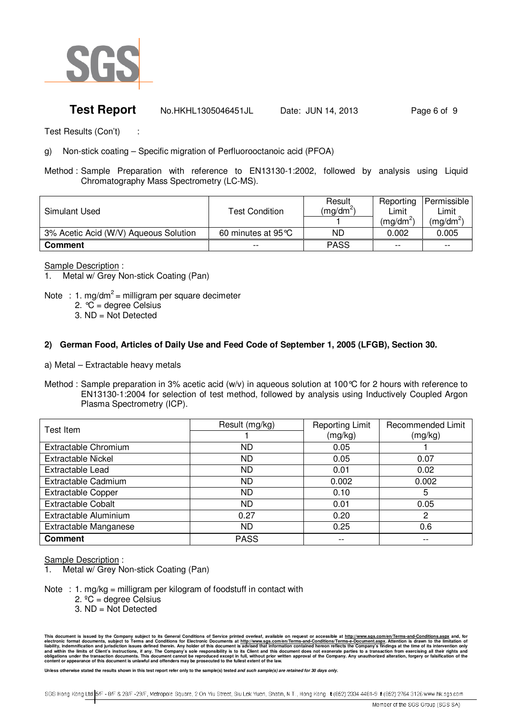

## **Test Report** No.HKHL1305046451JL Date: JUN 14, 2013 Page 6 of 9

Test Results (Con't) :

g) Non-stick coating – Specific migration of Perfluorooctanoic acid (PFOA)

Method : Sample Preparation with reference to EN13130-1:2002, followed by analysis using Liquid Chromatography Mass Spectrometry (LC-MS).

| Simulant Used                         | <b>Test Condition</b>        | Result<br>$(mq/dm^2)$ | Reporting<br>Limit<br>$(mq/dm^2)$ | Permissible<br>Limit<br>(mg/dm' |
|---------------------------------------|------------------------------|-----------------------|-----------------------------------|---------------------------------|
| 3% Acetic Acid (W/V) Aqueous Solution | 60 minutes at 95 $\degree$ C | ND                    | 0.002                             | 0.005                           |
| <b>Comment</b>                        | --                           | <b>PASS</b>           | $- -$                             | $- -$                           |

Sample Description :

Metal w/ Grey Non-stick Coating (Pan)

- Note : 1. mg/dm<sup>2</sup> = milligram per square decimeter
	- 2.  $°C = degree Celsius$
	- 3. ND = Not Detected

#### **2) German Food, Articles of Daily Use and Feed Code of September 1, 2005 (LFGB), Section 30.**

- a) Metal Extractable heavy metals
- Method : Sample preparation in 3% acetic acid (w/v) in aqueous solution at 100°C for 2 hours with reference to EN13130-1:2004 for selection of test method, followed by analysis using Inductively Coupled Argon Plasma Spectrometry (ICP).

| Test Item                 | Result (mg/kg)<br><b>Reporting Limit</b> |         | <b>Recommended Limit</b> |
|---------------------------|------------------------------------------|---------|--------------------------|
|                           |                                          | (mg/kg) | (mg/kg)                  |
| Extractable Chromium      | ND                                       | 0.05    |                          |
| <b>Extractable Nickel</b> | ND.                                      | 0.05    | 0.07                     |
| <b>Extractable Lead</b>   | ND.                                      | 0.01    | 0.02                     |
| Extractable Cadmium       | ND                                       | 0.002   | 0.002                    |
| <b>Extractable Copper</b> | ND.                                      | 0.10    | 5                        |
| <b>Extractable Cobalt</b> | <b>ND</b>                                | 0.01    | 0.05                     |
| Extractable Aluminium     | 0.27                                     | 0.20    | 2                        |
| Extractable Manganese     | ND.                                      | 0.25    | 0.6                      |
| <b>Comment</b>            | <b>PASS</b>                              |         |                          |

Sample Description :

Metal w/ Grey Non-stick Coating (Pan)

Note : 1. mg/kg = milligram per kilogram of foodstuff in contact with

- 2.  $°C = degree Celsius$
- 3. ND = Not Detected

Unless otherwise stated the results shown in this test report refer only to the sample(s) tested and such sample(s) are retained for 30 days only

This document is issued by the Company subject to its General Conditions of Service printed overleaf, available on request or accessible at <u>http://www.sqs.com/en/Terms-and-Conditions.aspx</u> and, for the limits of Client's

SGS Hong Kong Ltd. 5/F - 8/F & 28/F -29/F, Metropole Square, 2 On Yiu Street, Siu Lek Yuen, Shatin, N.T., Hong Kong. t (852) 2334 4481-9 f (852) 2764 3126 www.hk.sgs.com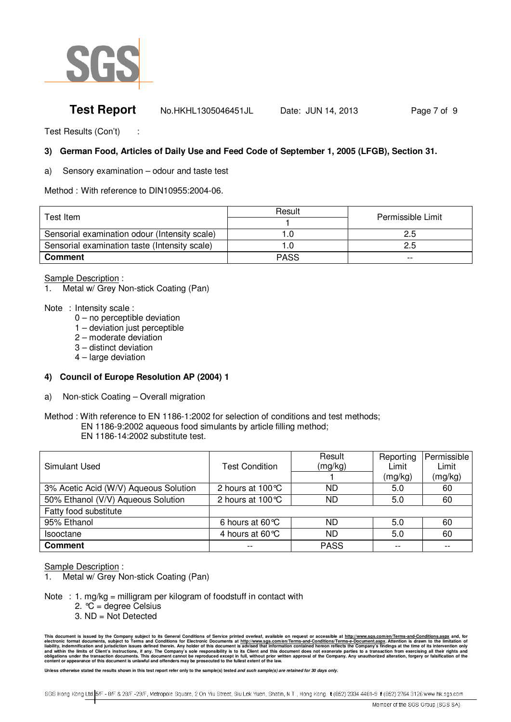

## **Test Report** Mo.HKHL1305046451JL Date: JUN 14, 2013 Page 7 of 9

Test Results (Con't) :

### **3) German Food, Articles of Daily Use and Feed Code of September 1, 2005 (LFGB), Section 31.**

a) Sensory examination – odour and taste test

Method : With reference to DIN10955:2004-06.

| Test Item                                     | Result      | Permissible Limit |  |
|-----------------------------------------------|-------------|-------------------|--|
|                                               |             |                   |  |
| Sensorial examination odour (Intensity scale) |             | 2.5               |  |
| Sensorial examination taste (Intensity scale) |             | 2.5               |  |
| <b>Comment</b>                                | <b>PASS</b> | $- -$             |  |

Sample Description :

Metal w/ Grey Non-stick Coating (Pan)

- Note : Intensity scale :
	- 0 no perceptible deviation
	- 1 deviation just perceptible
	- 2 moderate deviation
	- 3 distinct deviation
	- 4 large deviation

#### **4) Council of Europe Resolution AP (2004) 1**

a) Non-stick Coating – Overall migration

EN 1186-14:2002 substitute test.

| Simulant Used                         | <b>Test Condition</b>     | Result<br>(mg/kg) | Reporting<br>Limit<br>(mg/kg) | Permissible<br>Limit<br>(mg/kg) |
|---------------------------------------|---------------------------|-------------------|-------------------------------|---------------------------------|
| 3% Acetic Acid (W/V) Aqueous Solution | 2 hours at 100 °C         | ND                | 5.0                           | 60                              |
| 50% Ethanol (V/V) Aqueous Solution    | 2 hours at 100 °C         | ND                | 5.0                           | 60                              |
| Fatty food substitute                 |                           |                   |                               |                                 |
| 95% Ethanol                           | 6 hours at $60^{\circ}$ C | ND                | 5.0                           | 60                              |
| Isooctane                             | 4 hours at 60 $\degree$ C | ND                | 5.0                           | 60                              |
| <b>Comment</b>                        |                           | <b>PASS</b>       |                               | --                              |

#### Sample Description :

- 1. Metal w/ Grey Non-stick Coating (Pan)
- Note : 1. mg/kg = milligram per kilogram of foodstuff in contact with
	- 2.  $^{\circ}C$  = degree Celsius
	- 3. ND = Not Detected

Method : With reference to EN 1186-1:2002 for selection of conditions and test methods; EN 1186-9:2002 aqueous food simulants by article filling method;

This document is issued by the Company subject to its General Conditions of Service printed overleaf, available on request or accessible at <u>http://www.sqs.com/en/Terms-and-Conditions.aspx</u> and, for the limits of Client's

Unless otherwise stated the results shown in this test report refer only to the sample(s) tested and such sample(s) are retained for 30 days only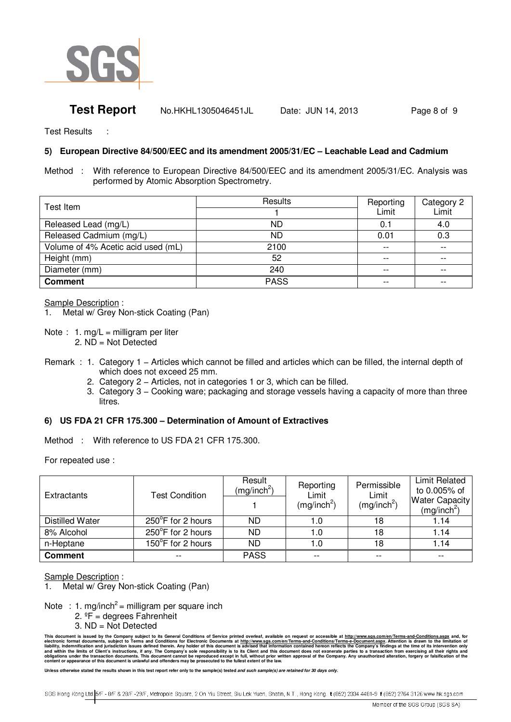

## **Test Report** Mo.HKHL1305046451JL Date: JUN 14, 2013 Page 8 of 9

Test Results :

### **5) European Directive 84/500/EEC and its amendment 2005/31/EC – Leachable Lead and Cadmium**

Method : With reference to European Directive 84/500/EEC and its amendment 2005/31/EC. Analysis was performed by Atomic Absorption Spectrometry.

| Test Item                          | Results     | Reporting | Category 2 |
|------------------------------------|-------------|-----------|------------|
|                                    |             | Limit     | Limit      |
| Released Lead (mg/L)               | <b>ND</b>   | 0.1       | 4.0        |
| Released Cadmium (mg/L)            | <b>ND</b>   | 0.01      | 0.3        |
| Volume of 4% Acetic acid used (mL) | 2100        |           |            |
| Height (mm)                        | 52          | $- -$     | $-$        |
| Diameter (mm)                      | 240         |           |            |
| <b>Comment</b>                     | <b>PASS</b> |           |            |

Sample Description :

1. Metal w/ Grey Non-stick Coating (Pan)

Note : 1. mg/L = milligram per liter

2. ND = Not Detected

Remark : 1. Category 1 – Articles which cannot be filled and articles which can be filled, the internal depth of which does not exceed 25 mm.

- 2. Category 2 Articles, not in categories 1 or 3, which can be filled.
- 3. Category 3 − Cooking ware; packaging and storage vessels having a capacity of more than three litres.

### **6) US FDA 21 CFR 175.300 – Determination of Amount of Extractives**

Method : With reference to US FDA 21 CFR 175.300.

For repeated use :

| Extractants            | <b>Test Condition</b> | Result<br>(mg/inch <sup>2</sup> ) | Reporting<br>Limit<br>(mg/inch <sup>2</sup> ) | Permissible<br>Limit<br>(mg/inch <sup>2</sup> ) | <b>Limit Related</b><br>to 0.005% of<br><b>Water Capacity</b><br>(mg/inch <sup>2</sup> ) |
|------------------------|-----------------------|-----------------------------------|-----------------------------------------------|-------------------------------------------------|------------------------------------------------------------------------------------------|
| <b>Distilled Water</b> | 250°F for 2 hours     | <b>ND</b>                         | 1.0                                           | 18                                              | 1.14                                                                                     |
| 8% Alcohol             | 250°F for 2 hours     | <b>ND</b>                         | 1.0                                           | 18                                              | 1.14                                                                                     |
| n-Heptane              | 150°F for 2 hours     | <b>ND</b>                         | 1.0                                           | 18                                              | 1.14                                                                                     |
| <b>Comment</b>         | --                    | <b>PASS</b>                       | $- -$                                         | $- -$                                           | --                                                                                       |

Sample Description :

Metal w/ Grey Non-stick Coating (Pan)

Note : 1. mg/inch<sup>2</sup> = milligram per square inch

- 2.  $P =$  degrees Fahrenheit
- 3. ND = Not Detected

This document is issued by the Company subject to its General Conditions of Service printed overleaf, available on request or accessible at <u>http://www.sqs.com/en/Terms-and-Conditions.aspx</u> and, for the limits of Client's

Unless otherwise stated the results shown in this test report refer only to the sample(s) tested and such sample(s) are retained for 30 days only

SGS Hong Kong Ltd. 5/F - 8/F & 28/F -29/F, Metropole Square, 2 On Yiu Street, Siu Lek Yuen, Shatin, N.T., Hong Kong. t (852) 2334 4481-9 f (852) 2764 3126 www.hk.sgs.com